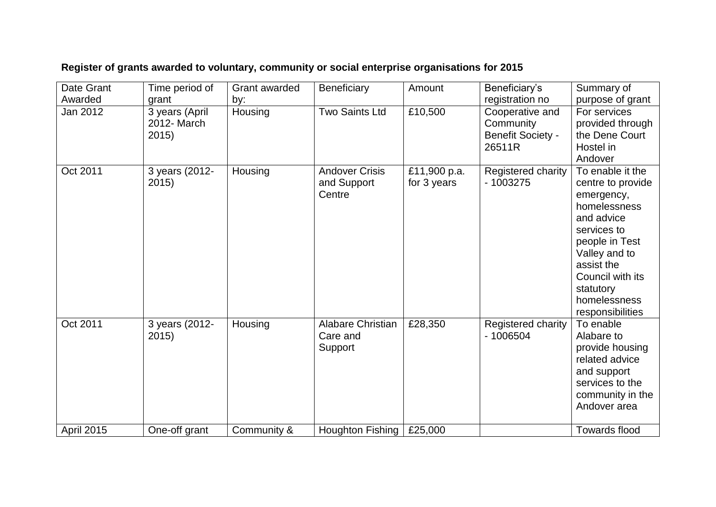| Date Grant | Time period of                         | Grant awarded | Beneficiary                                     | Amount                      | Beneficiary's                                                      | Summary of                                                                                                                                                                                                             |
|------------|----------------------------------------|---------------|-------------------------------------------------|-----------------------------|--------------------------------------------------------------------|------------------------------------------------------------------------------------------------------------------------------------------------------------------------------------------------------------------------|
| Awarded    | grant                                  | by:           |                                                 |                             | registration no                                                    | purpose of grant                                                                                                                                                                                                       |
| Jan 2012   | 3 years (April<br>2012- March<br>2015) | Housing       | <b>Two Saints Ltd</b>                           | £10,500                     | Cooperative and<br>Community<br><b>Benefit Society -</b><br>26511R | For services<br>provided through<br>the Dene Court<br>Hostel in<br>Andover                                                                                                                                             |
| Oct 2011   | 3 years (2012-<br>2015)                | Housing       | <b>Andover Crisis</b><br>and Support<br>Centre  | £11,900 p.a.<br>for 3 years | Registered charity<br>$-1003275$                                   | To enable it the<br>centre to provide<br>emergency,<br>homelessness<br>and advice<br>services to<br>people in Test<br>Valley and to<br>assist the<br>Council with its<br>statutory<br>homelessness<br>responsibilities |
| Oct 2011   | 3 years (2012-<br>2015)                | Housing       | <b>Alabare Christian</b><br>Care and<br>Support | £28,350                     | Registered charity<br>$-1006504$                                   | To enable<br>Alabare to<br>provide housing<br>related advice<br>and support<br>services to the<br>community in the<br>Andover area                                                                                     |
| April 2015 | One-off grant                          | Community &   | Houghton Fishing                                | £25,000                     |                                                                    | <b>Towards flood</b>                                                                                                                                                                                                   |

## **Register of grants awarded to voluntary, community or social enterprise organisations for 2015**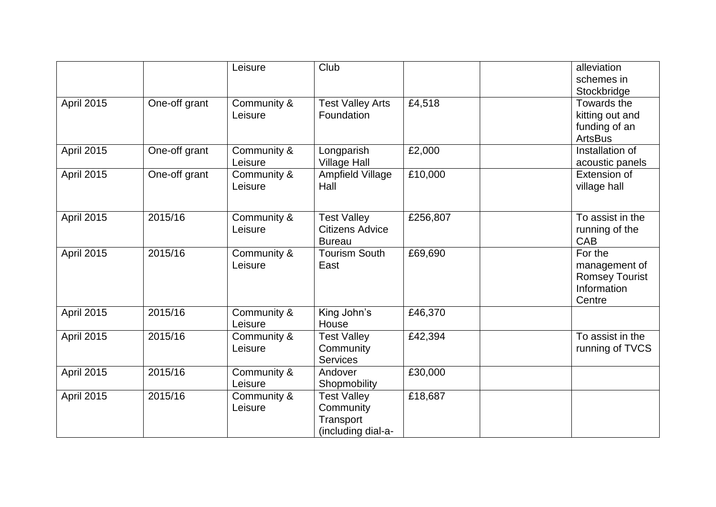|                   |               | Leisure                | Club                                                               |          | alleviation<br>schemes in<br>Stockbridge                                   |
|-------------------|---------------|------------------------|--------------------------------------------------------------------|----------|----------------------------------------------------------------------------|
| April 2015        | One-off grant | Community &<br>Leisure | <b>Test Valley Arts</b><br>Foundation                              | £4,518   | Towards the<br>kitting out and<br>funding of an<br><b>ArtsBus</b>          |
| <b>April 2015</b> | One-off grant | Community &<br>Leisure | Longparish<br><b>Village Hall</b>                                  | £2,000   | Installation of<br>acoustic panels                                         |
| <b>April 2015</b> | One-off grant | Community &<br>Leisure | <b>Ampfield Village</b><br>Hall                                    | £10,000  | Extension of<br>village hall                                               |
| <b>April 2015</b> | 2015/16       | Community &<br>Leisure | <b>Test Valley</b><br><b>Citizens Advice</b><br><b>Bureau</b>      | £256,807 | To assist in the<br>running of the<br>CAB                                  |
| <b>April 2015</b> | 2015/16       | Community &<br>Leisure | <b>Tourism South</b><br>East                                       | £69,690  | For the<br>management of<br><b>Romsey Tourist</b><br>Information<br>Centre |
| <b>April 2015</b> | 2015/16       | Community &<br>Leisure | King John's<br>House                                               | £46,370  |                                                                            |
| <b>April 2015</b> | 2015/16       | Community &<br>Leisure | <b>Test Valley</b><br>Community<br><b>Services</b>                 | £42,394  | To assist in the<br>running of TVCS                                        |
| <b>April 2015</b> | 2015/16       | Community &<br>Leisure | Andover<br>Shopmobility                                            | £30,000  |                                                                            |
| <b>April 2015</b> | 2015/16       | Community &<br>Leisure | <b>Test Valley</b><br>Community<br>Transport<br>(including dial-a- | £18,687  |                                                                            |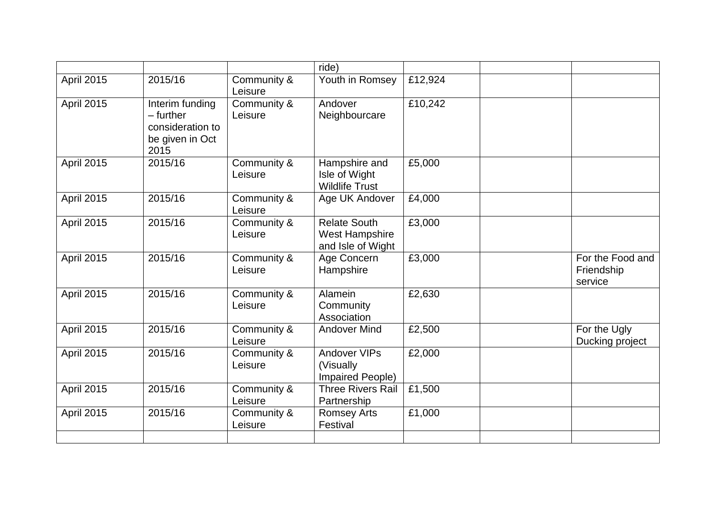|                   |                                                                             |                        | ride)                                                             |         |                                           |
|-------------------|-----------------------------------------------------------------------------|------------------------|-------------------------------------------------------------------|---------|-------------------------------------------|
| April 2015        | 2015/16                                                                     | Community &<br>Leisure | Youth in Romsey                                                   | £12,924 |                                           |
| <b>April 2015</b> | Interim funding<br>- further<br>consideration to<br>be given in Oct<br>2015 | Community &<br>Leisure | Andover<br>Neighbourcare                                          | £10,242 |                                           |
| <b>April 2015</b> | 2015/16                                                                     | Community &<br>Leisure | Hampshire and<br>Isle of Wight<br><b>Wildlife Trust</b>           | £5,000  |                                           |
| April 2015        | 2015/16                                                                     | Community &<br>Leisure | Age UK Andover                                                    | £4,000  |                                           |
| April 2015        | 2015/16                                                                     | Community &<br>Leisure | <b>Relate South</b><br><b>West Hampshire</b><br>and Isle of Wight | £3,000  |                                           |
| April 2015        | 2015/16                                                                     | Community &<br>Leisure | Age Concern<br>Hampshire                                          | £3,000  | For the Food and<br>Friendship<br>service |
| April 2015        | 2015/16                                                                     | Community &<br>Leisure | Alamein<br>Community<br>Association                               | £2,630  |                                           |
| April 2015        | 2015/16                                                                     | Community &<br>Leisure | <b>Andover Mind</b>                                               | £2,500  | For the Ugly<br>Ducking project           |
| <b>April 2015</b> | 2015/16                                                                     | Community &<br>Leisure | <b>Andover VIPs</b><br>(Visually<br>Impaired People)              | £2,000  |                                           |
| <b>April 2015</b> | 2015/16                                                                     | Community &<br>Leisure | <b>Three Rivers Rail</b><br>Partnership                           | £1,500  |                                           |
| April 2015        | 2015/16                                                                     | Community &<br>Leisure | <b>Romsey Arts</b><br>Festival                                    | £1,000  |                                           |
|                   |                                                                             |                        |                                                                   |         |                                           |